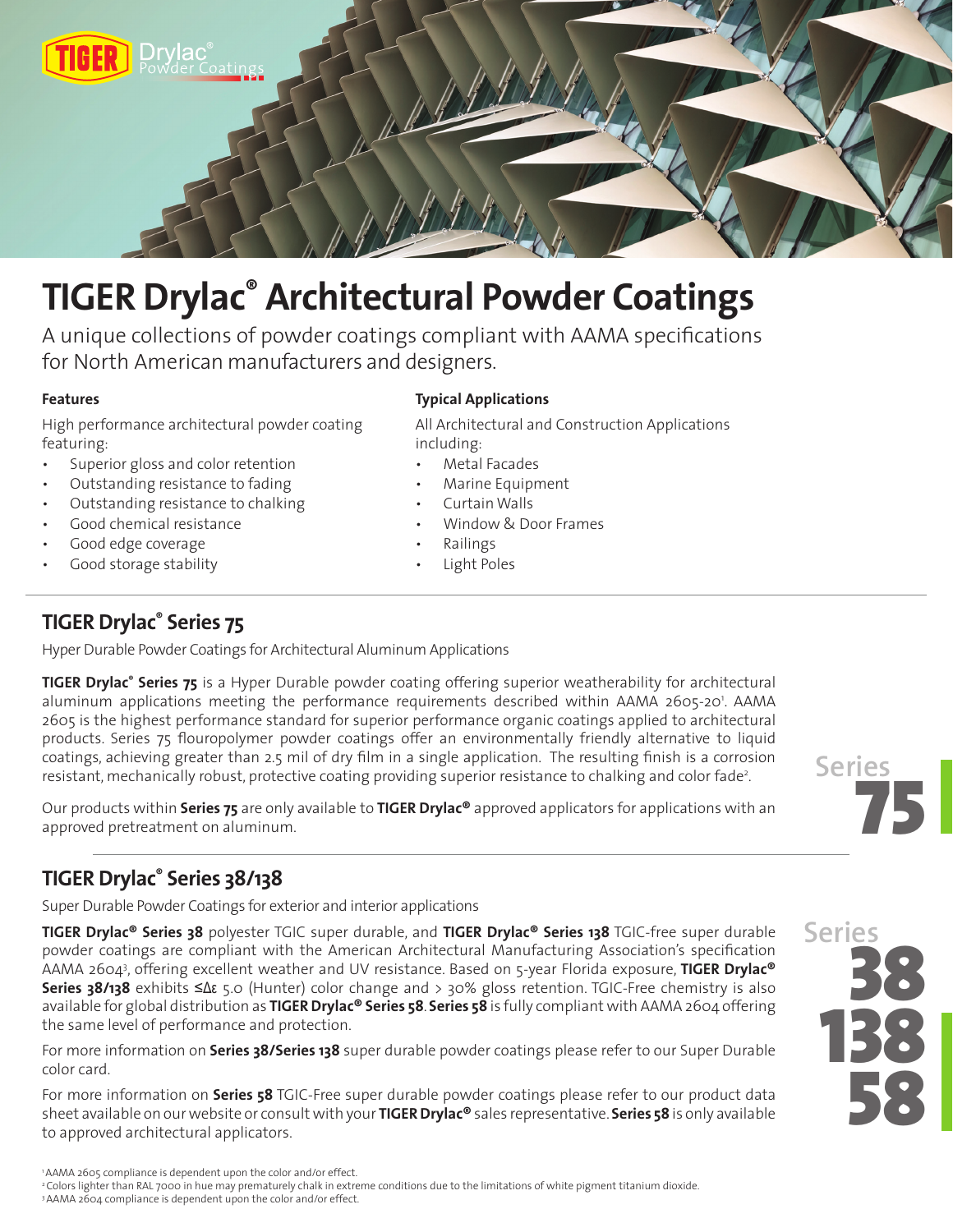

# **TIGER Drylac® Architectural Powder Coatings**

A unique collections of powder coatings compliant with AAMA specifications for North American manufacturers and designers.

#### **Features**

High performance architectural powder coating featuring:

- Superior gloss and color retention
- Outstanding resistance to fading
- Outstanding resistance to chalking
- Good chemical resistance
- Good edge coverage
- Good storage stability

#### **Typical Applications**

All Architectural and Construction Applications including:

- Metal Facades
	- Marine Equipment
- Curtain Walls
- Window & Door Frames
- Railings
- Light Poles

## **TIGER Drylac® Series 75**

Hyper Durable Powder Coatings for Architectural Aluminum Applications

**TIGER Drylac® Series 75** is a Hyper Durable powder coating offering superior weatherability for architectural aluminum applications meeting the performance requirements described within AAMA 2605-20'. AAMA 2605 is the highest performance standard for superior performance organic coatings applied to architectural products. Series 75 flouropolymer powder coatings offer an environmentally friendly alternative to liquid coatings, achieving greater than 2.5 mil of dry film in a single application. The resulting finish is a corrosion resistant, mechanically robust, protective coating providing superior resistance to chalking and color fade<sup>2</sup>.

Our products within **Series 75** are only available to **TIGER Drylac®** approved applicators for applications with an approved pretreatment on aluminum.



# **TIGER Drylac® Series 38/138**

Super Durable Powder Coatings for exterior and interior applications

**TIGER Drylac® Series 38** polyester TGIC super durable, and **TIGER Drylac® Series 138** TGIC-free super durable powder coatings are compliant with the American Architectural Manufacturing Association's specification AAMA 26043 , offering excellent weather and UV resistance. Based on 5-year Florida exposure, **TIGER Drylac® Series 38/138** exhibits ≤Δε 5.0 (Hunter) color change and > 30% gloss retention. TGIC-Free chemistry is also available for global distribution as **TIGER Drylac® Series 58**. **Series 58** is fully compliant with AAMA 2604 offering the same level of performance and protection.

For more information on **Series 38/Series 138** super durable powder coatings please refer to our Super Durable color card.

For more information on **Series 58** TGIC-Free super durable powder coatings please refer to our product data sheet available on our website or consult with your **TIGER Drylac®** sales representative. **Series 58** is only available to approved architectural applicators.



<sup>3</sup> AAMA 2604 compliance is dependent upon the color and/or effect.

<sup>1</sup> AAMA 2605 compliance is dependent upon the color and/or effect.

<sup>&</sup>lt;sup>2</sup> Colors lighter than RAL 7000 in hue may prematurely chalk in extreme conditions due to the limitations of white pigment titanium dioxide.